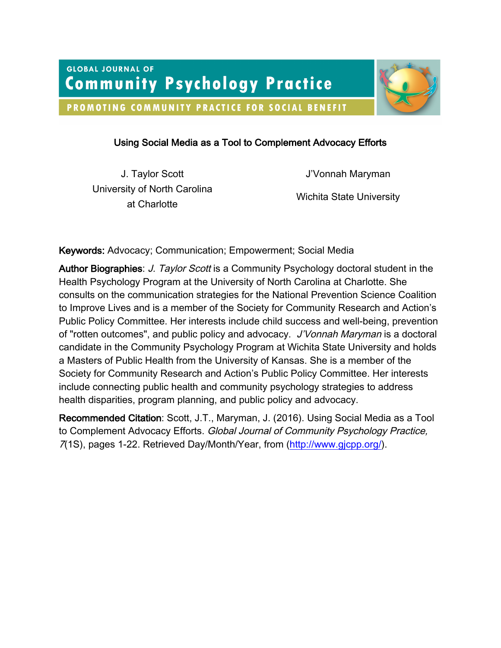PROMOTING COMMUNITY PRACTICE FOR SOCIAL BENEFIT



# Using Social Media as a Tool to Complement Advocacy Efforts

University of North Carolina at Charlotte Wichita State University<br>at Charlotte

J. Taylor Scott **J'Vonnah Maryman** 

Keywords: Advocacy; Communication; Empowerment; Social Media

Author Biographies: J. Taylor Scott is a Community Psychology doctoral student in the Health Psychology Program at the University of North Carolina at Charlotte. She consults on the communication strategies for the National Prevention Science Coalition to Improve Lives and is a member of the Society for Community Research and Action's Public Policy Committee. Her interests include child success and well-being, prevention of "rotten outcomes", and public policy and advocacy. J'Vonnah Maryman is a doctoral candidate in the Community Psychology Program at Wichita State University and holds a Masters of Public Health from the University of Kansas. She is a member of the Society for Community Research and Action's Public Policy Committee. Her interests include connecting public health and community psychology strategies to address health disparities, program planning, and public policy and advocacy.

Recommended Citation: Scott, J.T., Maryman, J. (2016). Using Social Media as a Tool to Complement Advocacy Efforts. Global Journal of Community Psychology Practice, 7(1S), pages 1-22. Retrieved Day/Month/Year, from (http://www.gjcpp.org/).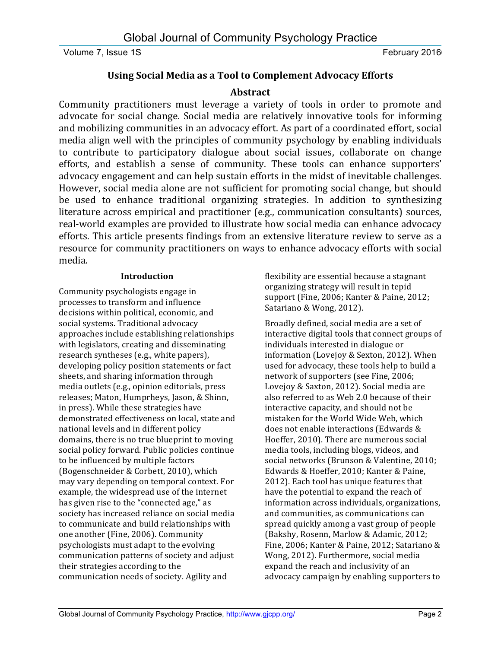# **Using Social Media as a Tool to Complement Advocacy Efforts**

# **Abstract**

Community practitioners must leverage a variety of tools in order to promote and advocate for social change. Social media are relatively innovative tools for informing and mobilizing communities in an advocacy effort. As part of a coordinated effort, social media align well with the principles of community psychology by enabling individuals to contribute to participatory dialogue about social issues, collaborate on change efforts, and establish a sense of community. These tools can enhance supporters' advocacy engagement and can help sustain efforts in the midst of inevitable challenges. However, social media alone are not sufficient for promoting social change, but should be used to enhance traditional organizing strategies. In addition to synthesizing literature across empirical and practitioner (e.g., communication consultants) sources, real-world examples are provided to illustrate how social media can enhance advocacy efforts. This article presents findings from an extensive literature review to serve as a resource for community practitioners on ways to enhance advocacy efforts with social media.

# **Introduction**

Community psychologists engage in processes to transform and influence decisions within political, economic, and social systems. Traditional advocacy approaches include establishing relationships with legislators, creating and disseminating research syntheses (e.g., white papers), developing policy position statements or fact sheets, and sharing information through media outlets (e.g., opinion editorials, press releases; Maton, Humprheys, Jason, & Shinn, in press). While these strategies have demonstrated effectiveness on local, state and national levels and in different policy domains, there is no true blueprint to moving social policy forward. Public policies continue to be influenced by multiple factors (Bogenschneider & Corbett, 2010), which may vary depending on temporal context. For example, the widespread use of the internet has given rise to the "connected age," as society has increased reliance on social media to communicate and build relationships with one another (Fine, 2006). Community psychologists must adapt to the evolving communication patterns of society and adjust their strategies according to the communication needs of society. Agility and

flexibility are essential because a stagnant organizing strategy will result in tepid support (Fine, 2006; Kanter & Paine, 2012; Satariano & Wong, 2012).

Broadly defined, social media are a set of interactive digital tools that connect groups of individuals interested in dialogue or information (Lovejoy & Sexton, 2012). When used for advocacy, these tools help to build a network of supporters (see Fine, 2006; Lovejoy & Saxton, 2012). Social media are also referred to as Web 2.0 because of their interactive capacity, and should not be mistaken for the World Wide Web, which does not enable interactions (Edwards & Hoeffer, 2010). There are numerous social media tools, including blogs, videos, and social networks (Brunson & Valentine, 2010; Edwards & Hoeffer, 2010; Kanter & Paine, 2012). Each tool has unique features that have the potential to expand the reach of information across individuals, organizations, and communities, as communications can spread quickly among a vast group of people (Bakshy, Rosenn, Marlow & Adamic, 2012; Fine, 2006; Kanter & Paine, 2012; Satariano & Wong, 2012). Furthermore, social media expand the reach and inclusivity of an advocacy campaign by enabling supporters to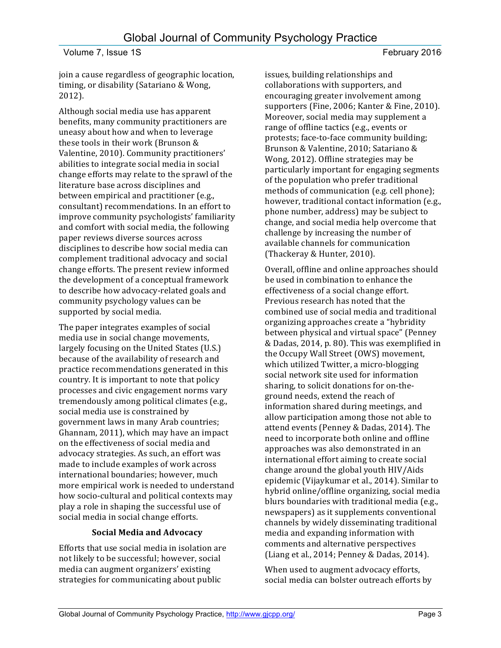join a cause regardless of geographic location, timing, or disability (Satariano & Wong, 2012).

Although social media use has apparent benefits, many community practitioners are uneasy about how and when to leverage these tools in their work (Brunson  $&$ Valentine, 2010). Community practitioners' abilities to integrate social media in social change efforts may relate to the sprawl of the literature base across disciplines and between empirical and practitioner (e.g., consultant) recommendations. In an effort to improve community psychologists' familiarity and comfort with social media, the following paper reviews diverse sources across disciplines to describe how social media can complement traditional advocacy and social change efforts. The present review informed the development of a conceptual framework to describe how advocacy-related goals and community psychology values can be supported by social media.

The paper integrates examples of social media use in social change movements, largely focusing on the United States (U.S.) because of the availability of research and practice recommendations generated in this country. It is important to note that policy processes and civic engagement norms vary tremendously among political climates (e.g., social media use is constrained by government laws in many Arab countries; Ghannam, 2011), which may have an impact on the effectiveness of social media and advocacy strategies. As such, an effort was made to include examples of work across international boundaries; however, much more empirical work is needed to understand how socio-cultural and political contexts may play a role in shaping the successful use of social media in social change efforts.

# **Social Media and Advocacy**

Efforts that use social media in isolation are not likely to be successful; however, social media can augment organizers' existing strategies for communicating about public

issues, building relationships and collaborations with supporters, and encouraging greater involvement among supporters (Fine, 2006; Kanter & Fine, 2010). Moreover, social media may supplement a range of offline tactics (e.g., events or protests; face-to-face community building; Brunson & Valentine, 2010; Satariano & Wong, 2012). Offline strategies may be particularly important for engaging segments of the population who prefer traditional methods of communication (e.g. cell phone); however, traditional contact information (e.g., phone number, address) may be subject to change, and social media help overcome that challenge by increasing the number of available channels for communication (Thackeray & Hunter, 2010).

Overall, offline and online approaches should be used in combination to enhance the effectiveness of a social change effort. Previous research has noted that the combined use of social media and traditional organizing approaches create a "hybridity" between physical and virtual space" (Penney & Dadas, 2014, p. 80). This was exemplified in the Occupy Wall Street (OWS) movement, which utilized Twitter, a micro-blogging social network site used for information sharing, to solicit donations for on-theground needs, extend the reach of information shared during meetings, and allow participation among those not able to attend events (Penney & Dadas, 2014). The need to incorporate both online and offline approaches was also demonstrated in an international effort aiming to create social change around the global youth HIV/Aids epidemic (Vijaykumar et al., 2014). Similar to hybrid online/offline organizing, social media blurs boundaries with traditional media (e.g., newspapers) as it supplements conventional channels by widely disseminating traditional media and expanding information with comments and alternative perspectives (Liang et al., 2014; Penney & Dadas, 2014).

When used to augment advocacy efforts, social media can bolster outreach efforts by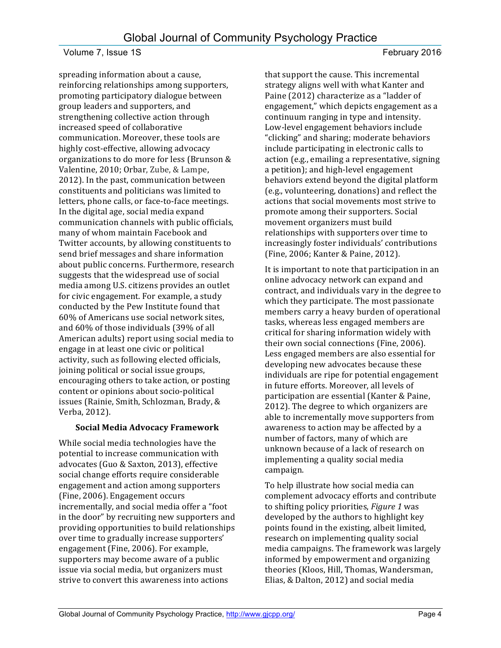spreading information about a cause, reinforcing relationships among supporters, promoting participatory dialogue between group leaders and supporters, and strengthening collective action through increased speed of collaborative communication. Moreover, these tools are highly cost-effective, allowing advocacy organizations to do more for less (Brunson & Valentine, 2010; Orbar, Zube, & Lampe, 2012). In the past, communication between constituents and politicians was limited to letters, phone calls, or face-to-face meetings. In the digital age, social media expand communication channels with public officials, many of whom maintain Facebook and Twitter accounts, by allowing constituents to send brief messages and share information about public concerns. Furthermore, research suggests that the widespread use of social media among U.S. citizens provides an outlet for civic engagement. For example, a study conducted by the Pew Institute found that 60% of Americans use social network sites, and 60% of those individuals (39% of all American adults) report using social media to engage in at least one civic or political activity, such as following elected officials, joining political or social issue groups, encouraging others to take action, or posting content or opinions about socio-political issues (Rainie, Smith, Schlozman, Brady, & Verba, 2012).

# **Social Media Advocacy Framework**

While social media technologies have the potential to increase communication with advocates (Guo & Saxton, 2013), effective social change efforts require considerable engagement and action among supporters (Fine, 2006). Engagement occurs incrementally, and social media offer a "foot in the door" by recruiting new supporters and providing opportunities to build relationships over time to gradually increase supporters' engagement (Fine, 2006). For example, supporters may become aware of a public issue via social media, but organizers must strive to convert this awareness into actions

that support the cause. This incremental strategy aligns well with what Kanter and Paine (2012) characterize as a "ladder of engagement," which depicts engagement as a continuum ranging in type and intensity. Low-level engagement behaviors include "clicking" and sharing; moderate behaviors include participating in electronic calls to action (e.g., emailing a representative, signing a petition); and high-level engagement behaviors extend beyond the digital platform (e.g., volunteering, donations) and reflect the actions that social movements most strive to promote among their supporters. Social movement organizers must build relationships with supporters over time to increasingly foster individuals' contributions (Fine, 2006; Kanter & Paine, 2012).

It is important to note that participation in an online advocacy network can expand and contract, and individuals vary in the degree to which they participate. The most passionate members carry a heavy burden of operational tasks, whereas less engaged members are critical for sharing information widely with their own social connections (Fine, 2006). Less engaged members are also essential for developing new advocates because these individuals are ripe for potential engagement in future efforts. Moreover, all levels of participation are essential (Kanter & Paine, 2012). The degree to which organizers are able to incrementally move supporters from awareness to action may be affected by a number of factors, many of which are unknown because of a lack of research on implementing a quality social media campaign.

To help illustrate how social media can complement advocacy efforts and contribute to shifting policy priorities, *Figure 1* was developed by the authors to highlight key points found in the existing, albeit limited, research on implementing quality social media campaigns. The framework was largely informed by empowerment and organizing theories (Kloos, Hill, Thomas, Wandersman, Elias, & Dalton, 2012) and social media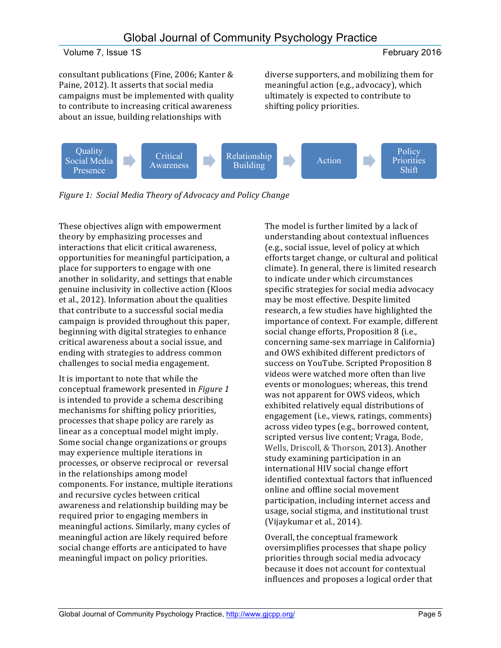consultant publications (Fine, 2006; Kanter & Paine, 2012). It asserts that social media campaigns must be implemented with quality to contribute to increasing critical awareness about an issue, building relationships with

diverse supporters, and mobilizing them for meaningful action (e.g., advocacy), which ultimately is expected to contribute to shifting policy priorities.



*Figure 1: Social Media Theory of Advocacy and Policy Change* 

These objectives align with empowerment theory by emphasizing processes and interactions that elicit critical awareness, opportunities for meaningful participation, a place for supporters to engage with one another in solidarity, and settings that enable genuine inclusivity in collective action (Kloos et al., 2012). Information about the qualities that contribute to a successful social media campaign is provided throughout this paper, beginning with digital strategies to enhance critical awareness about a social issue, and ending with strategies to address common challenges to social media engagement.

It is important to note that while the conceptual framework presented in *Figure 1* is intended to provide a schema describing mechanisms for shifting policy priorities, processes that shape policy are rarely as linear as a conceptual model might imply. Some social change organizations or groups may experience multiple iterations in processes, or observe reciprocal or reversal in the relationships among model components. For instance, multiple iterations and recursive cycles between critical awareness and relationship building may be required prior to engaging members in meaningful actions. Similarly, many cycles of meaningful action are likely required before social change efforts are anticipated to have meaningful impact on policy priorities.

The model is further limited by a lack of understanding about contextual influences (e.g., social issue, level of policy at which efforts target change, or cultural and political climate). In general, there is limited research to indicate under which circumstances specific strategies for social media advocacy may be most effective. Despite limited research, a few studies have highlighted the importance of context. For example, different social change efforts, Proposition 8 (i.e., concerning same-sex marriage in California) and OWS exhibited different predictors of success on YouTube. Scripted Proposition 8 videos were watched more often than live events or monologues; whereas, this trend was not apparent for OWS videos, which exhibited relatively equal distributions of engagement (i.e., views, ratings, comments) across video types (e.g., borrowed content, scripted versus live content; Vraga, Bode, Wells, Driscoll, & Thorson, 2013). Another study examining participation in an international HIV social change effort identified contextual factors that influenced online and offline social movement participation, including internet access and usage, social stigma, and institutional trust (Vijaykumar et al., 2014).

Overall, the conceptual framework oversimplifies processes that shape policy priorities through social media advocacy because it does not account for contextual influences and proposes a logical order that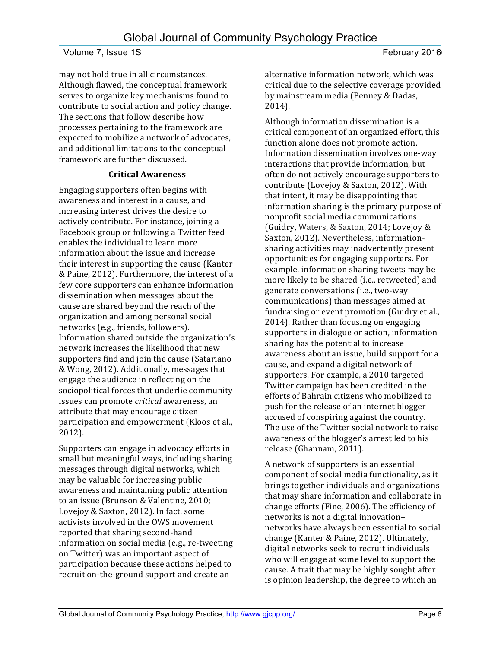may not hold true in all circumstances. Although flawed, the conceptual framework serves to organize key mechanisms found to contribute to social action and policy change. The sections that follow describe how processes pertaining to the framework are expected to mobilize a network of advocates, and additional limitations to the conceptual framework are further discussed.

### **Critical Awareness**

Engaging supporters often begins with awareness and interest in a cause, and increasing interest drives the desire to actively contribute. For instance, joining a Facebook group or following a Twitter feed enables the individual to learn more information about the issue and increase their interest in supporting the cause (Kanter & Paine, 2012). Furthermore, the interest of a few core supporters can enhance information dissemination when messages about the cause are shared beyond the reach of the organization and among personal social networks (e.g., friends, followers). Information shared outside the organization's network increases the likelihood that new supporters find and join the cause (Satariano & Wong, 2012). Additionally, messages that engage the audience in reflecting on the sociopolitical forces that underlie community issues can promote *critical* awareness, an attribute that may encourage citizen participation and empowerment (Kloos et al., 2012).

Supporters can engage in advocacy efforts in small but meaningful ways, including sharing messages through digital networks, which may be valuable for increasing public awareness and maintaining public attention to an issue (Brunson & Valentine, 2010; Lovejoy & Saxton, 2012). In fact, some activists involved in the OWS movement reported that sharing second-hand information on social media (e.g., re-tweeting on Twitter) was an important aspect of participation because these actions helped to recruit on-the-ground support and create an

alternative information network, which was critical due to the selective coverage provided by mainstream media (Penney & Dadas, 2014). 

Although information dissemination is a critical component of an organized effort, this function alone does not promote action. Information dissemination involves one-way interactions that provide information, but often do not actively encourage supporters to contribute (Lovejoy & Saxton, 2012). With that intent, it may be disappointing that information sharing is the primary purpose of nonprofit social media communications (Guidry, Waters, & Saxton, 2014; Lovejoy & Saxton, 2012). Nevertheless, informationsharing activities may inadvertently present opportunities for engaging supporters. For example, information sharing tweets may be more likely to be shared (i.e., retweeted) and generate conversations (i.e., two-way communications) than messages aimed at fundraising or event promotion (Guidry et al., 2014). Rather than focusing on engaging supporters in dialogue or action, information sharing has the potential to increase awareness about an issue, build support for a cause, and expand a digital network of supporters. For example, a 2010 targeted Twitter campaign has been credited in the efforts of Bahrain citizens who mobilized to push for the release of an internet blogger accused of conspiring against the country. The use of the Twitter social network to raise awareness of the blogger's arrest led to his release (Ghannam, 2011).

A network of supporters is an essential component of social media functionality, as it brings together individuals and organizations that may share information and collaborate in change efforts (Fine, 2006). The efficiency of networks is not a digital innovationnetworks have always been essential to social change (Kanter & Paine, 2012). Ultimately, digital networks seek to recruit individuals who will engage at some level to support the cause. A trait that may be highly sought after is opinion leadership, the degree to which an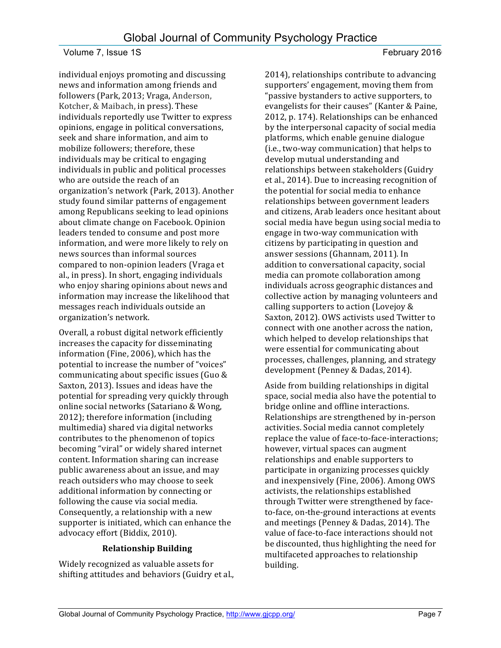individual enjoys promoting and discussing news and information among friends and followers (Park, 2013; Vraga, Anderson, Kotcher, & Maibach, in press). These individuals reportedly use Twitter to express opinions, engage in political conversations, seek and share information, and aim to mobilize followers; therefore, these individuals may be critical to engaging individuals in public and political processes who are outside the reach of an organization's network (Park, 2013). Another study found similar patterns of engagement among Republicans seeking to lead opinions about climate change on Facebook. Opinion leaders tended to consume and post more information, and were more likely to rely on news sources than informal sources compared to non-opinion leaders (Vraga et al., in press). In short, engaging individuals who enjoy sharing opinions about news and information may increase the likelihood that messages reach individuals outside an organization's network.

Overall, a robust digital network efficiently increases the capacity for disseminating information (Fine, 2006), which has the potential to increase the number of "voices" communicating about specific issues (Guo & Saxton, 2013). Issues and ideas have the potential for spreading very quickly through online social networks (Satariano & Wong, 2012); therefore information (including multimedia) shared via digital networks contributes to the phenomenon of topics becoming "viral" or widely shared internet content. Information sharing can increase public awareness about an issue, and may reach outsiders who may choose to seek additional information by connecting or following the cause via social media. Consequently, a relationship with a new supporter is initiated, which can enhance the advocacy effort (Biddix, 2010).

# **Relationship Building**

Widely recognized as valuable assets for shifting attitudes and behaviors (Guidry et al., 2014), relationships contribute to advancing supporters' engagement, moving them from "passive bystanders to active supporters, to evangelists for their causes" (Kanter & Paine, 2012, p. 174). Relationships can be enhanced by the interpersonal capacity of social media platforms, which enable genuine dialogue (i.e., two-way communication) that helps to develop mutual understanding and relationships between stakeholders (Guidry et al., 2014). Due to increasing recognition of the potential for social media to enhance relationships between government leaders and citizens, Arab leaders once hesitant about social media have begun using social media to engage in two-way communication with citizens by participating in question and answer sessions (Ghannam, 2011). In addition to conversational capacity, social media can promote collaboration among individuals across geographic distances and collective action by managing volunteers and calling supporters to action (Lovejoy & Saxton, 2012). OWS activists used Twitter to connect with one another across the nation, which helped to develop relationships that were essential for communicating about processes, challenges, planning, and strategy development (Penney & Dadas, 2014).

Aside from building relationships in digital space, social media also have the potential to bridge online and offline interactions. Relationships are strengthened by in-person activities. Social media cannot completely replace the value of face-to-face-interactions; however, virtual spaces can augment relationships and enable supporters to participate in organizing processes quickly and inexpensively (Fine, 2006). Among OWS activists, the relationships established through Twitter were strengthened by faceto-face, on-the-ground interactions at events and meetings (Penney & Dadas, 2014). The value of face-to-face interactions should not be discounted, thus highlighting the need for multifaceted approaches to relationship building.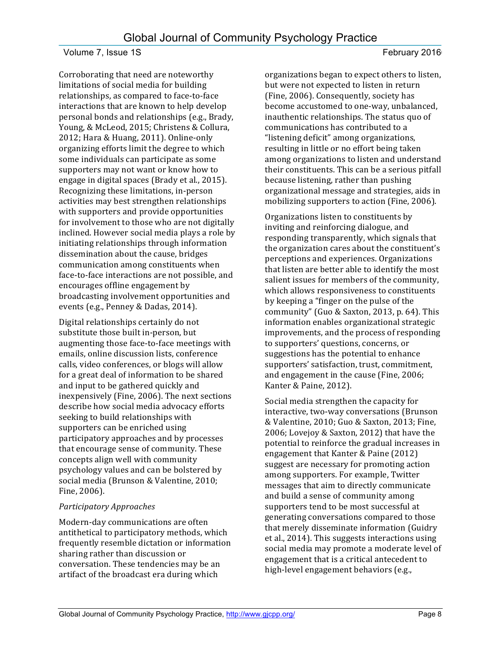Corroborating that need are noteworthy limitations of social media for building relationships, as compared to face-to-face interactions that are known to help develop personal bonds and relationships (e.g., Brady, Young, & McLeod, 2015; Christens & Collura, 2012; Hara & Huang, 2011). Online-only organizing efforts limit the degree to which some individuals can participate as some supporters may not want or know how to engage in digital spaces (Brady et al., 2015). Recognizing these limitations, in-person activities may best strengthen relationships with supporters and provide opportunities for involvement to those who are not digitally inclined. However social media plays a role by initiating relationships through information dissemination about the cause, bridges communication among constituents when face-to-face interactions are not possible, and encourages offline engagement by broadcasting involvement opportunities and events (e.g., Penney & Dadas, 2014).

Digital relationships certainly do not substitute those built in-person, but augmenting those face-to-face meetings with emails, online discussion lists, conference calls, video conferences, or blogs will allow for a great deal of information to be shared and input to be gathered quickly and inexpensively (Fine, 2006). The next sections describe how social media advocacy efforts seeking to build relationships with supporters can be enriched using participatory approaches and by processes that encourage sense of community. These concepts align well with community psychology values and can be bolstered by social media (Brunson & Valentine, 2010; Fine, 2006).

# *Participatory Approaches*

Modern-day communications are often antithetical to participatory methods, which frequently resemble dictation or information sharing rather than discussion or conversation. These tendencies may be an artifact of the broadcast era during which

organizations began to expect others to listen, but were not expected to listen in return (Fine, 2006). Consequently, society has become accustomed to one-way, unbalanced, inauthentic relationships. The status quo of communications has contributed to a "listening deficit" among organizations, resulting in little or no effort being taken among organizations to listen and understand their constituents. This can be a serious pitfall because listening, rather than pushing organizational message and strategies, aids in mobilizing supporters to action (Fine, 2006).

Organizations listen to constituents by inviting and reinforcing dialogue, and responding transparently, which signals that the organization cares about the constituent's perceptions and experiences. Organizations that listen are better able to identify the most salient issues for members of the community, which allows responsiveness to constituents by keeping a "finger on the pulse of the community" (Guo & Saxton, 2013, p. 64). This information enables organizational strategic improvements, and the process of responding to supporters' questions, concerns, or suggestions has the potential to enhance supporters' satisfaction, trust, commitment, and engagement in the cause (Fine, 2006; Kanter & Paine, 2012).

Social media strengthen the capacity for interactive, two-way conversations (Brunson & Valentine, 2010; Guo & Saxton, 2013; Fine, 2006; Lovejoy & Saxton, 2012) that have the potential to reinforce the gradual increases in engagement that Kanter & Paine  $(2012)$ suggest are necessary for promoting action among supporters. For example, Twitter messages that aim to directly communicate and build a sense of community among supporters tend to be most successful at generating conversations compared to those that merely disseminate information (Guidry et al., 2014). This suggests interactions using social media may promote a moderate level of engagement that is a critical antecedent to high-level engagement behaviors (e.g.,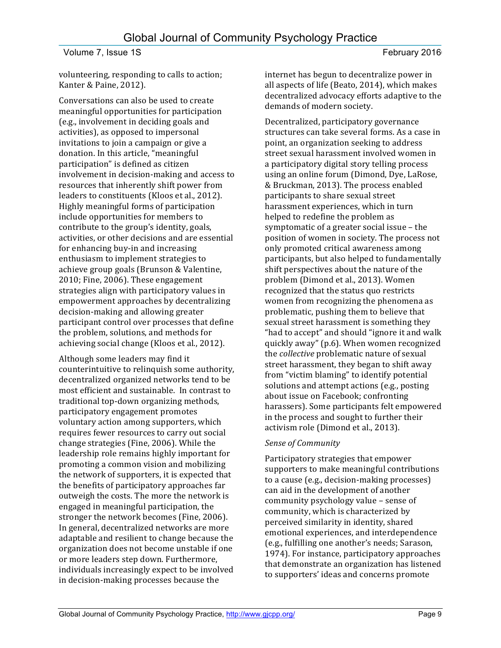volunteering, responding to calls to action; Kanter & Paine, 2012).

Conversations can also be used to create meaningful opportunities for participation (e.g., involvement in deciding goals and activities), as opposed to impersonal invitations to join a campaign or give a donation. In this article, "meaningful participation" is defined as citizen involvement in decision-making and access to resources that inherently shift power from leaders to constituents (Kloos et al., 2012). Highly meaningful forms of participation include opportunities for members to contribute to the group's identity, goals, activities, or other decisions and are essential for enhancing buy-in and increasing enthusiasm to implement strategies to achieve group goals (Brunson & Valentine,  $2010$ ; Fine,  $2006$ ). These engagement strategies align with participatory values in empowerment approaches by decentralizing decision-making and allowing greater participant control over processes that define the problem, solutions, and methods for achieving social change (Kloos et al., 2012).

Although some leaders may find it counterintuitive to relinquish some authority, decentralized organized networks tend to be most efficient and sustainable. In contrast to traditional top-down organizing methods, participatory engagement promotes voluntary action among supporters, which requires fewer resources to carry out social change strategies (Fine, 2006). While the leadership role remains highly important for promoting a common vision and mobilizing the network of supporters, it is expected that the benefits of participatory approaches far outweigh the costs. The more the network is engaged in meaningful participation, the stronger the network becomes (Fine, 2006). In general, decentralized networks are more adaptable and resilient to change because the organization does not become unstable if one or more leaders step down. Furthermore, individuals increasingly expect to be involved in decision-making processes because the

internet has begun to decentralize power in all aspects of life (Beato, 2014), which makes decentralized advocacy efforts adaptive to the demands of modern society.

Decentralized, participatory governance structures can take several forms. As a case in point, an organization seeking to address street sexual harassment involved women in a participatory digital story telling process using an online forum (Dimond, Dye, LaRose, & Bruckman, 2013). The process enabled participants to share sexual street harassment experiences, which in turn helped to redefine the problem as symptomatic of a greater social issue - the position of women in society. The process not only promoted critical awareness among participants, but also helped to fundamentally shift perspectives about the nature of the problem (Dimond et al., 2013). Women recognized that the status quo restricts women from recognizing the phenomena as problematic, pushing them to believe that sexual street harassment is something they "had to accept" and should "ignore it and walk quickly away" (p.6). When women recognized the *collective* problematic nature of sexual street harassment, they began to shift away from "victim blaming" to identify potential solutions and attempt actions (e.g., posting about issue on Facebook; confronting harassers). Some participants felt empowered in the process and sought to further their activism role (Dimond et al., 2013).

# *Sense of Community*

Participatory strategies that empower supporters to make meaningful contributions to a cause (e.g., decision-making processes) can aid in the development of another community psychology value – sense of community, which is characterized by perceived similarity in identity, shared emotional experiences, and interdependence (e.g., fulfilling one another's needs; Sarason, 1974). For instance, participatory approaches that demonstrate an organization has listened to supporters' ideas and concerns promote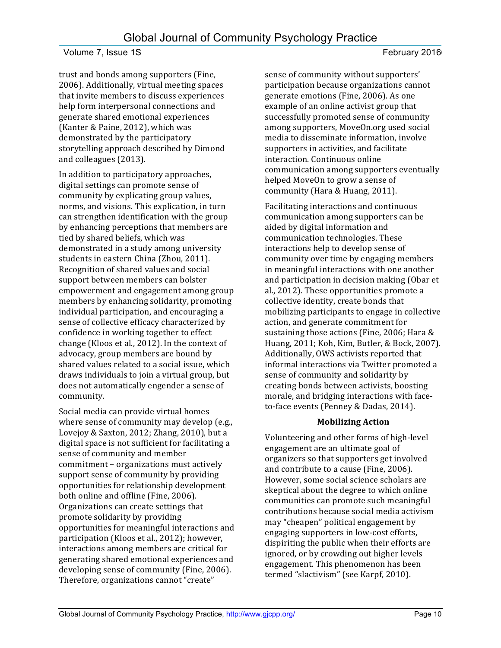trust and bonds among supporters (Fine, 2006). Additionally, virtual meeting spaces that invite members to discuss experiences help form interpersonal connections and generate shared emotional experiences (Kanter & Paine, 2012), which was demonstrated by the participatory storytelling approach described by Dimond and colleagues (2013).

In addition to participatory approaches, digital settings can promote sense of community by explicating group values, norms, and visions. This explication, in turn can strengthen identification with the group by enhancing perceptions that members are tied by shared beliefs, which was demonstrated in a study among university students in eastern China (Zhou, 2011). Recognition of shared values and social support between members can bolster empowerment and engagement among group members by enhancing solidarity, promoting individual participation, and encouraging a sense of collective efficacy characterized by confidence in working together to effect change (Kloos et al., 2012). In the context of advocacy, group members are bound by shared values related to a social issue, which draws individuals to join a virtual group, but does not automatically engender a sense of community. 

Social media can provide virtual homes where sense of community may develop (e.g., Lovejoy & Saxton, 2012; Zhang, 2010), but a digital space is not sufficient for facilitating a sense of community and member commitment - organizations must actively support sense of community by providing opportunities for relationship development both online and offline (Fine, 2006). Organizations can create settings that promote solidarity by providing opportunities for meaningful interactions and participation (Kloos et al., 2012); however, interactions among members are critical for generating shared emotional experiences and developing sense of community (Fine, 2006). Therefore, organizations cannot "create"

sense of community without supporters' participation because organizations cannot generate emotions (Fine, 2006). As one example of an online activist group that successfully promoted sense of community among supporters, MoveOn.org used social media to disseminate information, involve supporters in activities, and facilitate interaction. Continuous online communication among supporters eventually helped MoveOn to grow a sense of community (Hara & Huang, 2011).

Facilitating interactions and continuous communication among supporters can be aided by digital information and communication technologies. These interactions help to develop sense of community over time by engaging members in meaningful interactions with one another and participation in decision making (Obar et al., 2012). These opportunities promote a collective identity, create bonds that mobilizing participants to engage in collective action, and generate commitment for sustaining those actions (Fine, 2006; Hara & Huang, 2011; Koh, Kim, Butler, & Bock, 2007). Additionally, OWS activists reported that informal interactions via Twitter promoted a sense of community and solidarity by creating bonds between activists, boosting morale, and bridging interactions with faceto-face events (Penney & Dadas, 2014).

# **Mobilizing Action**

Volunteering and other forms of high-level engagement are an ultimate goal of organizers so that supporters get involved and contribute to a cause (Fine, 2006). However, some social science scholars are skeptical about the degree to which online communities can promote such meaningful contributions because social media activism may "cheapen" political engagement by engaging supporters in low-cost efforts, dispiriting the public when their efforts are ignored, or by crowding out higher levels engagement. This phenomenon has been termed "slactivism" (see Karpf, 2010).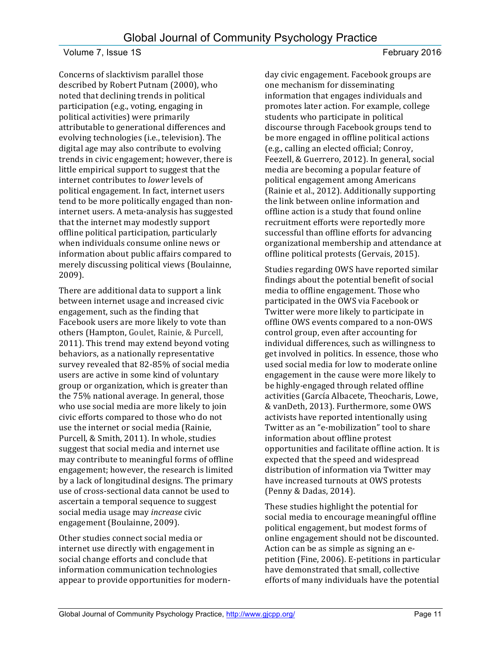Concerns of slacktivism parallel those described by Robert Putnam (2000), who noted that declining trends in political participation (e.g., voting, engaging in political activities) were primarily attributable to generational differences and evolving technologies (i.e., television). The digital age may also contribute to evolving trends in civic engagement; however, there is little empirical support to suggest that the internet contributes to *lower* levels of political engagement. In fact, internet users tend to be more politically engaged than noninternet users. A meta-analysis has suggested that the internet may modestly support offline political participation, particularly when individuals consume online news or information about public affairs compared to merely discussing political views (Boulainne, 2009).

There are additional data to support a link between internet usage and increased civic engagement, such as the finding that Facebook users are more likely to vote than others (Hampton, Goulet, Rainie, & Purcell, 2011). This trend may extend beyond voting behaviors, as a nationally representative survey revealed that 82-85% of social media users are active in some kind of voluntary group or organization, which is greater than the 75% national average. In general, those who use social media are more likely to join civic efforts compared to those who do not use the internet or social media (Rainie, Purcell, & Smith, 2011). In whole, studies suggest that social media and internet use may contribute to meaningful forms of offline engagement; however, the research is limited by a lack of longitudinal designs. The primary use of cross-sectional data cannot be used to ascertain a temporal sequence to suggest social media usage may *increase* civic engagement (Boulainne, 2009).

Other studies connect social media or internet use directly with engagement in social change efforts and conclude that information communication technologies appear to provide opportunities for modernday civic engagement. Facebook groups are one mechanism for disseminating information that engages individuals and promotes later action. For example, college students who participate in political discourse through Facebook groups tend to be more engaged in offline political actions (e.g., calling an elected official; Conroy, Feezell, & Guerrero, 2012). In general, social media are becoming a popular feature of political engagement among Americans (Rainie et al., 2012). Additionally supporting the link between online information and offline action is a study that found online recruitment efforts were reportedly more successful than offline efforts for advancing organizational membership and attendance at offline political protests (Gervais, 2015).

Studies regarding OWS have reported similar findings about the potential benefit of social media to offline engagement. Those who participated in the OWS via Facebook or Twitter were more likely to participate in offline OWS events compared to a non-OWS control group, even after accounting for individual differences, such as willingness to get involved in politics. In essence, those who used social media for low to moderate online engagement in the cause were more likely to be highly-engaged through related offline activities (García Albacete, Theocharis, Lowe, & vanDeth, 2013). Furthermore, some OWS activists have reported intentionally using Twitter as an "e-mobilization" tool to share information about offline protest opportunities and facilitate offline action. It is expected that the speed and widespread distribution of information via Twitter may have increased turnouts at OWS protests (Penny & Dadas, 2014).

These studies highlight the potential for social media to encourage meaningful offline political engagement, but modest forms of online engagement should not be discounted. Action can be as simple as signing an epetition (Fine, 2006). E-petitions in particular have demonstrated that small, collective efforts of many individuals have the potential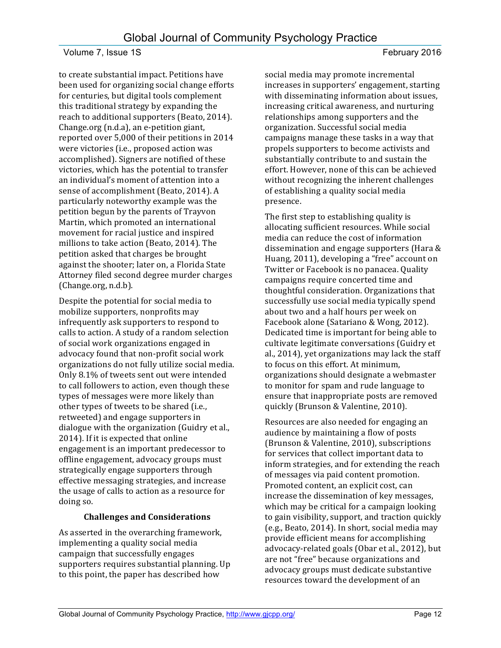to create substantial impact. Petitions have been used for organizing social change efforts for centuries, but digital tools complement this traditional strategy by expanding the reach to additional supporters (Beato, 2014). Change.org (n.d.a), an e-petition giant, reported over 5,000 of their petitions in 2014 were victories (i.e., proposed action was accomplished). Signers are notified of these victories, which has the potential to transfer an individual's moment of attention into a sense of accomplishment (Beato, 2014). A particularly noteworthy example was the petition begun by the parents of Trayvon Martin, which promoted an international movement for racial justice and inspired millions to take action (Beato, 2014). The petition asked that charges be brought against the shooter; later on, a Florida State Attorney filed second degree murder charges (Change.org, n.d.b).

Despite the potential for social media to mobilize supporters, nonprofits may infrequently ask supporters to respond to calls to action. A study of a random selection of social work organizations engaged in advocacy found that non-profit social work organizations do not fully utilize social media. Only 8.1% of tweets sent out were intended to call followers to action, even though these types of messages were more likely than other types of tweets to be shared (i.e., retweeted) and engage supporters in dialogue with the organization (Guidry et al., 2014). If it is expected that online engagement is an important predecessor to offline engagement, advocacy groups must strategically engage supporters through effective messaging strategies, and increase the usage of calls to action as a resource for doing so.

### **Challenges and Considerations**

As asserted in the overarching framework, implementing a quality social media campaign that successfully engages supporters requires substantial planning. Up to this point, the paper has described how

social media may promote incremental increases in supporters' engagement, starting with disseminating information about issues, increasing critical awareness, and nurturing relationships among supporters and the organization. Successful social media campaigns manage these tasks in a way that propels supporters to become activists and substantially contribute to and sustain the effort. However, none of this can be achieved without recognizing the inherent challenges of establishing a quality social media presence. 

The first step to establishing quality is allocating sufficient resources. While social media can reduce the cost of information dissemination and engage supporters (Hara  $&$ Huang, 2011), developing a "free" account on Twitter or Facebook is no panacea. Quality campaigns require concerted time and thoughtful consideration. Organizations that successfully use social media typically spend about two and a half hours per week on Facebook alone (Satariano & Wong, 2012). Dedicated time is important for being able to cultivate legitimate conversations (Guidry et al., 2014), yet organizations may lack the staff to focus on this effort. At minimum, organizations should designate a webmaster to monitor for spam and rude language to ensure that inappropriate posts are removed quickly (Brunson & Valentine, 2010).

Resources are also needed for engaging an audience by maintaining a flow of posts (Brunson & Valentine, 2010), subscriptions for services that collect important data to inform strategies, and for extending the reach of messages via paid content promotion. Promoted content, an explicit cost, can increase the dissemination of key messages, which may be critical for a campaign looking to gain visibility, support, and traction quickly (e.g., Beato, 2014). In short, social media may provide efficient means for accomplishing advocacy-related goals (Obar et al., 2012), but are not "free" because organizations and advocacy groups must dedicate substantive resources toward the development of an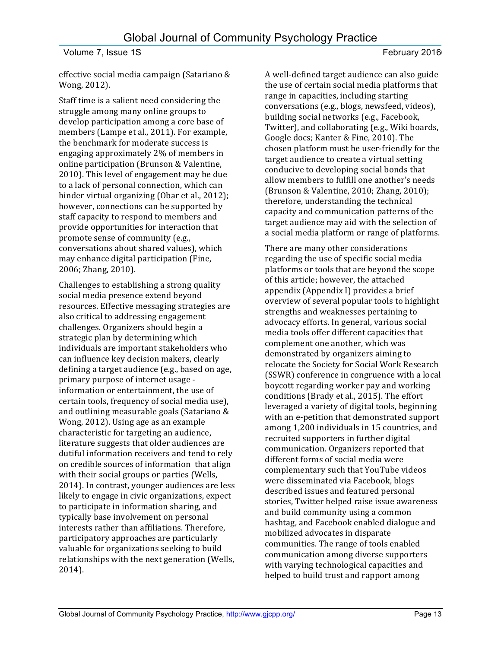effective social media campaign (Satariano & Wong, 2012).

Staff time is a salient need considering the struggle among many online groups to develop participation among a core base of members (Lampe et al., 2011). For example, the benchmark for moderate success is engaging approximately 2% of members in online participation (Brunson & Valentine, 2010). This level of engagement may be due to a lack of personal connection, which can hinder virtual organizing (Obar et al., 2012); however, connections can be supported by staff capacity to respond to members and provide opportunities for interaction that promote sense of community (e.g., conversations about shared values), which may enhance digital participation (Fine, 2006; Zhang, 2010).

Challenges to establishing a strong quality social media presence extend beyond resources. Effective messaging strategies are also critical to addressing engagement challenges. Organizers should begin a strategic plan by determining which individuals are important stakeholders who can influence key decision makers, clearly defining a target audience (e.g., based on age, primary purpose of internet usage information or entertainment, the use of certain tools, frequency of social media use), and outlining measurable goals (Satariano & Wong, 2012). Using age as an example characteristic for targeting an audience, literature suggests that older audiences are dutiful information receivers and tend to rely on credible sources of information that align with their social groups or parties (Wells, 2014). In contrast, younger audiences are less likely to engage in civic organizations, expect to participate in information sharing, and typically base involvement on personal interests rather than affiliations. Therefore, participatory approaches are particularly valuable for organizations seeking to build relationships with the next generation (Wells, 2014). 

A well-defined target audience can also guide the use of certain social media platforms that range in capacities, including starting conversations (e.g., blogs, newsfeed, videos), building social networks (e.g., Facebook, Twitter), and collaborating (e.g., Wiki boards, Google docs; Kanter & Fine, 2010). The chosen platform must be user-friendly for the target audience to create a virtual setting conducive to developing social bonds that allow members to fulfill one another's needs (Brunson & Valentine, 2010; Zhang, 2010); therefore, understanding the technical capacity and communication patterns of the target audience may aid with the selection of a social media platform or range of platforms.

There are many other considerations regarding the use of specific social media platforms or tools that are beyond the scope of this article; however, the attached appendix (Appendix I) provides a brief overview of several popular tools to highlight strengths and weaknesses pertaining to advocacy efforts. In general, various social media tools offer different capacities that complement one another, which was demonstrated by organizers aiming to relocate the Society for Social Work Research (SSWR) conference in congruence with a local boycott regarding worker pay and working conditions (Brady et al., 2015). The effort leveraged a variety of digital tools, beginning with an e-petition that demonstrated support among 1,200 individuals in 15 countries, and recruited supporters in further digital communication. Organizers reported that different forms of social media were complementary such that YouTube videos were disseminated via Facebook, blogs described issues and featured personal stories, Twitter helped raise issue awareness and build community using a common hashtag, and Facebook enabled dialogue and mobilized advocates in disparate communities. The range of tools enabled communication among diverse supporters with varying technological capacities and helped to build trust and rapport among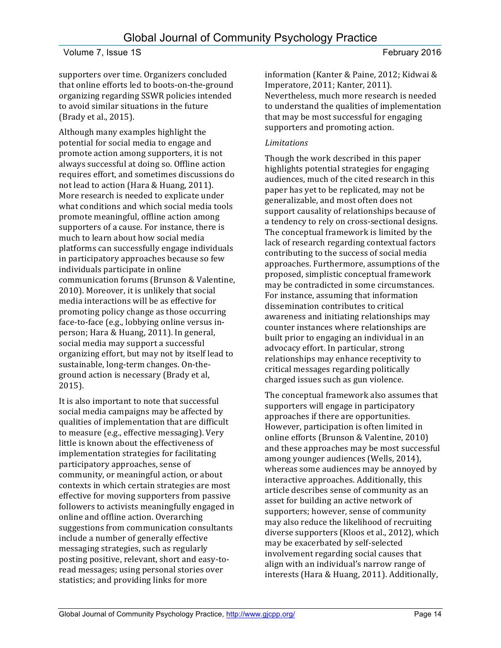supporters over time. Organizers concluded that online efforts led to boots-on-the-ground organizing regarding SSWR policies intended to avoid similar situations in the future (Brady et al., 2015).

Although many examples highlight the potential for social media to engage and promote action among supporters, it is not always successful at doing so. Offline action requires effort, and sometimes discussions do not lead to action (Hara & Huang, 2011). More research is needed to explicate under what conditions and which social media tools promote meaningful, offline action among supporters of a cause. For instance, there is much to learn about how social media platforms can successfully engage individuals in participatory approaches because so few individuals participate in online communication forums (Brunson & Valentine, 2010). Moreover, it is unlikely that social media interactions will be as effective for promoting policy change as those occurring face-to-face (e.g., lobbying online versus inperson; Hara & Huang, 2011). In general, social media may support a successful organizing effort, but may not by itself lead to sustainable, long-term changes. On-theground action is necessary (Brady et al, 2015).

It is also important to note that successful social media campaigns may be affected by qualities of implementation that are difficult to measure (e.g., effective messaging). Very little is known about the effectiveness of implementation strategies for facilitating participatory approaches, sense of community, or meaningful action, or about contexts in which certain strategies are most effective for moving supporters from passive followers to activists meaningfully engaged in online and offline action. Overarching suggestions from communication consultants include a number of generally effective messaging strategies, such as regularly posting positive, relevant, short and easy-toread messages; using personal stories over statistics; and providing links for more

information (Kanter & Paine, 2012; Kidwai & Imperatore, 2011; Kanter, 2011). Nevertheless, much more research is needed to understand the qualities of implementation that may be most successful for engaging supporters and promoting action.

## *Limitations*

Though the work described in this paper highlights potential strategies for engaging audiences, much of the cited research in this paper has yet to be replicated, may not be generalizable, and most often does not support causality of relationships because of a tendency to rely on cross-sectional designs. The conceptual framework is limited by the lack of research regarding contextual factors contributing to the success of social media approaches. Furthermore, assumptions of the proposed, simplistic conceptual framework may be contradicted in some circumstances. For instance, assuming that information dissemination contributes to critical awareness and initiating relationships may counter instances where relationships are built prior to engaging an individual in an advocacy effort. In particular, strong relationships may enhance receptivity to critical messages regarding politically charged issues such as gun violence.

The conceptual framework also assumes that supporters will engage in participatory approaches if there are opportunities. However, participation is often limited in online efforts (Brunson & Valentine, 2010) and these approaches may be most successful among younger audiences (Wells, 2014), whereas some audiences may be annoyed by interactive approaches. Additionally, this article describes sense of community as an asset for building an active network of supporters; however, sense of community may also reduce the likelihood of recruiting diverse supporters (Kloos et al., 2012), which may be exacerbated by self-selected involvement regarding social causes that align with an individual's narrow range of interests (Hara & Huang, 2011). Additionally,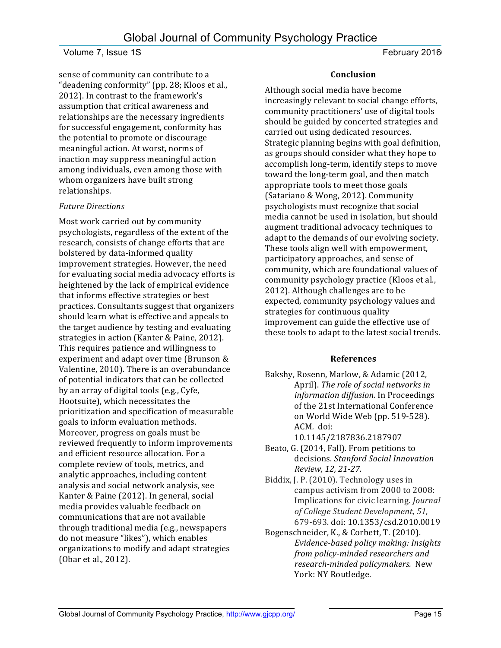sense of community can contribute to a "deadening conformity" (pp. 28; Kloos et al., 2012). In contrast to the framework's assumption that critical awareness and relationships are the necessary ingredients for successful engagement, conformity has the potential to promote or discourage meaningful action. At worst, norms of inaction may suppress meaningful action among individuals, even among those with whom organizers have built strong relationships.

### *Future Directions*

Most work carried out by community psychologists, regardless of the extent of the research, consists of change efforts that are bolstered by data-informed quality improvement strategies. However, the need for evaluating social media advocacy efforts is heightened by the lack of empirical evidence that informs effective strategies or best practices. Consultants suggest that organizers should learn what is effective and appeals to the target audience by testing and evaluating strategies in action (Kanter & Paine, 2012). This requires patience and willingness to experiment and adapt over time (Brunson & Valentine, 2010). There is an overabundance of potential indicators that can be collected by an array of digital tools (e.g., Cyfe, Hootsuite), which necessitates the prioritization and specification of measurable goals to inform evaluation methods. Moreover, progress on goals must be reviewed frequently to inform improvements and efficient resource allocation. For a complete review of tools, metrics, and analytic approaches, including content analysis and social network analysis, see Kanter & Paine (2012). In general, social media provides valuable feedback on communications that are not available through traditional media (e.g., newspapers do not measure "likes"), which enables organizations to modify and adapt strategies (Obar et al., 2012).

### **Conclusion**

Although social media have become increasingly relevant to social change efforts, community practitioners' use of digital tools should be guided by concerted strategies and carried out using dedicated resources. Strategic planning begins with goal definition, as groups should consider what they hope to accomplish long-term, identify steps to move toward the long-term goal, and then match appropriate tools to meet those goals (Satariano & Wong, 2012). Community psychologists must recognize that social media cannot be used in isolation, but should augment traditional advocacy techniques to adapt to the demands of our evolving society. These tools align well with empowerment, participatory approaches, and sense of community, which are foundational values of community psychology practice (Kloos et al., 2012). Although challenges are to be expected, community psychology values and strategies for continuous quality improvement can guide the effective use of these tools to adapt to the latest social trends.

# **References**

Bakshy, Rosenn, Marlow, & Adamic (2012, April). The role of social networks in *information diffusion.* In Proceedings of the 21st International Conference on World Wide Web (pp. 519-528). ACM*.* doi:

10.1145/2187836.2187907

- Beato, G. (2014, Fall). From petitions to decisions. *Stanford Social Innovation Review, 12, 21-27.*
- Biddix, J. P. (2010). Technology uses in campus activism from 2000 to 2008: Implications for civic learning. *Journal of College Student Development*, *51*, 679-693. doi: 10.1353/csd.2010.0019
- Bogenschneider, K., & Corbett, T. (2010). *Evidence-based policy making: Insights from policy-minded researchers and research-minded policymakers.* New York: NY Routledge.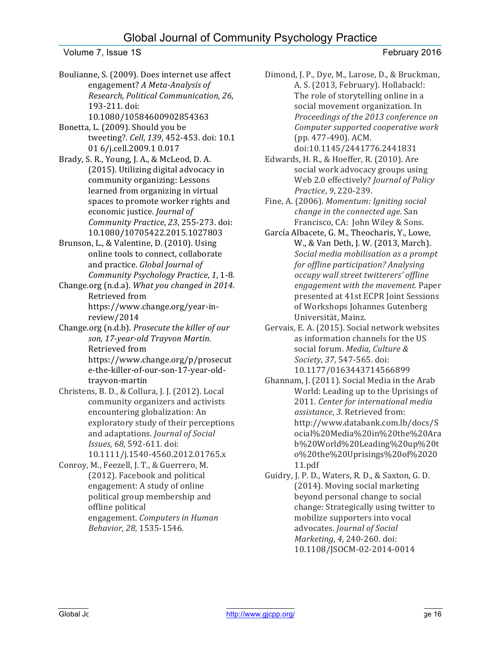# Global Journal of Community Psychology Practice

Volume 7, Issue 1S **February 2016** 

Boulianne, S. (2009). Does internet use affect engagement? A Meta-Analysis of *Research, Political Communication, 26*, 193-211. doi: 10.1080/10584600902854363

Bonetta, L. (2009). Should you be tweeting?. *Cell*, 139, 452-453. doi: 10.1 01 6/j.cell.2009.1 0.017

Brady, S. R., Young, J. A., & McLeod, D. A. (2015). Utilizing digital advocacy in community organizing: Lessons learned from organizing in virtual spaces to promote worker rights and economic justice. *Journal of Community Practice*, *23*, 255-273. doi: 10.1080/10705422.2015.1027803

Brunson, L., & Valentine, D. (2010). Using online tools to connect, collaborate and practice. *Global Journal of Community Psychology Practice, 1, 1-8.* 

Change.org (n.d.a). *What you changed in 2014*. Retrieved from https://www.change.org/year-in-

review/2014

Change.org (n.d.b). *Prosecute the killer of our* son, 17-year-old Trayvon Martin. Retrieved from https://www.change.org/p/prosecut e-the-killer-of-our-son-17-year-oldtrayvon-martin

Christens, B. D., & Collura, J. J. (2012). Local community organizers and activists encountering globalization: An exploratory study of their perceptions and adaptations. *Journal of Social Issues*, 68, 592-611. doi: 10.1111/j.1540-4560.2012.01765.x

Conroy, M., Feezell, J. T., & Guerrero, M. (2012). Facebook and political engagement: A study of online political group membership and offline political engagement. *Computers in Human Behavior*, *28*, 1535-1546.

Dimond, J. P., Dye, M., Larose, D., & Bruckman, A. S. (2013, February). Hollaback!: The role of storytelling online in a social movement organization. In Proceedings of the 2013 conference on *Computer supported cooperative work* (pp. 477-490). ACM. doi:10.1145/2441776.2441831 

Edwards, H. R., & Hoeffer, R. (2010). Are social work advocacy groups using Web 2.0 effectively? *Journal of Policy Practice*, *9*, 220-239.

Fine, A. (2006). *Momentum: Igniting social change in the connected age.* San Francisco, CA: John Wiley & Sons.

García Albacete, G. M., Theocharis, Y., Lowe, W., & Van Deth, J. W. (2013, March). Social media mobilisation as a prompt *for offline participation?* Analysing *occupy wall street twitterers' offline engagement with the movement.* Paper presented at 41st ECPR Joint Sessions of Workshops Johannes Gutenberg Universität, Mainz. 

Gervais, E. A. (2015). Social network websites as information channels for the US social forum. *Media*, Culture & *Society*, *37*, 547-565. doi: 10.1177/0163443714566899

Ghannam, J. (2011). Social Media in the Arab World: Leading up to the Uprisings of 2011. Center for international media *assistance*, 3. Retrieved from: http://www.databank.com.lb/docs/S ocial%20Media%20in%20the%20Ara b%20World%20Leading%20up%20t o%20the%20Uprisings%20of%2020 11.pdf

Guidry, J. P. D., Waters, R. D., & Saxton, G. D. (2014). Moving social marketing beyond personal change to social change: Strategically using twitter to mobilize supporters into vocal advocates. *Journal of Social Marketing*, 4, 240-260. doi: 10.1108/JSOCM-02-2014-0014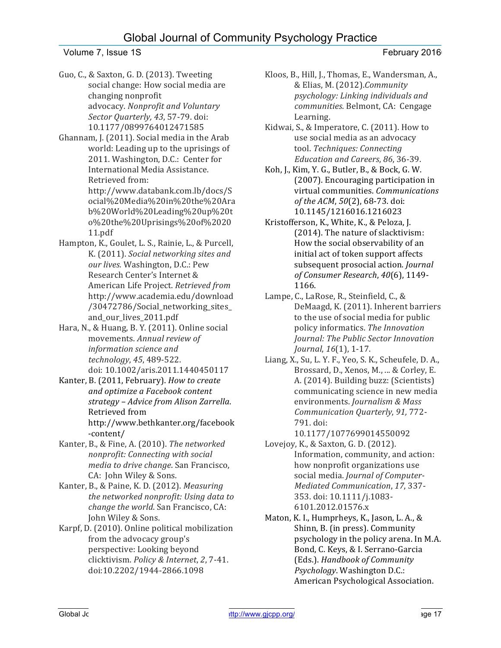- Guo, C., & Saxton, G. D. (2013). Tweeting social change: How social media are changing nonprofit advocacy. *Nonprofit and Voluntary* Sector Quarterly, 43, 57-79. doi: 10.1177/0899764012471585
- Ghannam, J. (2011). Social media in the Arab world: Leading up to the uprisings of 2011. Washington, D.C.: Center for International Media Assistance. Retrieved from: http://www.databank.com.lb/docs/S

ocial%20Media%20in%20the%20Ara b%20World%20Leading%20up%20t o%20the%20Uprisings%20of%2020 11.pdf

- Hampton, K., Goulet, L. S., Rainie, L., & Purcell, K. (2011). *Social networking sites and our lives.* Washington, D.C.: Pew Research Center's Internet & American Life Project. *Retrieved from* http://www.academia.edu/download /30472786/Social\_networking\_sites\_ and\_our\_lives\_2011.pdf
- Hara, N., & Huang, B.Y. (2011). Online social movements. Annual review of *information science and technology*, *45*, 489-522. doi: 10.1002/aris.2011.1440450117
- Kanter, B. (2011, February). *How to create and optimize a Facebook content strategy – Advice from Alison Zarrella*. Retrieved from http://www.bethkanter.org/facebook -content/
- Kanter, B., & Fine, A. (2010). The networked *nonprofit: Connecting with social media to drive change*. San Francisco, CA: John Wiley & Sons.
- Kanter, B., & Paine, K. D. (2012). *Measuring* the networked nonprofit: Using data to *change the world*. San Francisco, CA: John Wiley & Sons.
- Karpf, D. (2010). Online political mobilization from the advocacy group's perspective: Looking beyond clicktivism. *Policy & Internet*, *2*, 7-41. doi:10.2202/1944-2866.1098
- Kloos, B., Hill, J., Thomas, E., Wandersman, A., & Elias, M. (2012).*Community* psychology: Linking individuals and *communities*. Belmont, CA: Cengage Learning.
- Kidwai, S., & Imperatore, C. (2011). How to use social media as an advocacy tool. Techniques: Connecting *Education and Careers*, *86*, 36-39.
- Koh, J., Kim, Y. G., Butler, B., & Bock, G. W. (2007). Encouraging participation in virtual communities. *Communications of the ACM*,  $50(2)$ , 68-73. doi: 10.1145/1216016.1216023
- Kristofferson, K., White, K., & Peloza, J. (2014). The nature of slacktivism: How the social observability of an initial act of token support affects subsequent prosocial action. *Journal of Consumer Research*, *40*(6), 1149- 1166.
- Lampe, C., LaRose, R., Steinfield, C., & DeMaagd, K. (2011). Inherent barriers to the use of social media for public policy informatics. The Innovation *Journal: The Public Sector Innovation Journal*, 16(1), 1-17.
- Liang, X., Su, L. Y. F., Yeo, S. K., Scheufele, D. A., Brossard, D., Xenos, M., ... & Corley, E. A. (2014). Building buzz: (Scientists) communicating science in new media environments. *Journalism & Mass Communication Quarterly*, *91,* 772- 791. doi:
	- 10.1177/1077699014550092
- Lovejoy, K., & Saxton, G. D. (2012). Information, community, and action: how nonprofit organizations use social media. *Journal of Computer-Mediated Communication*, *17*, 337- 353. doi: 10.1111/j.1083- 6101.2012.01576.x
- Maton, K. I., Humprheys, K., Jason, L. A., & Shinn, B. (in press). Community psychology in the policy arena. In M.A. Bond, C. Keys, & I. Serrano-Garcia (Eds.). *Handbook of Community Psychology*. Washington D.C.: American Psychological Association.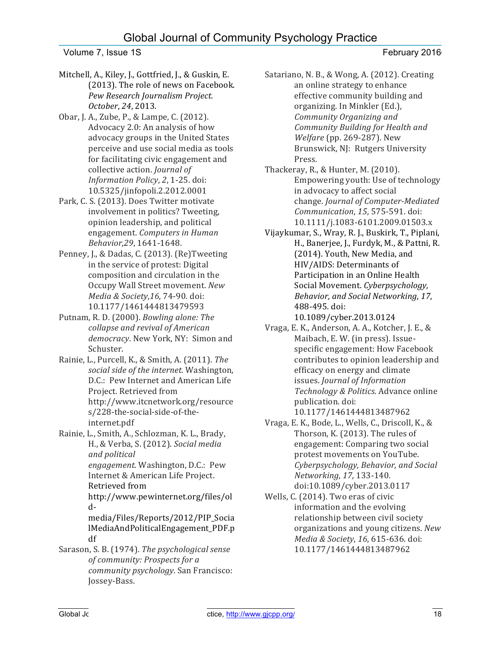# Global Journal of Community Psychology Practice

### Volume 7, Issue 1S **February 2016**

- Mitchell, A., Kiley, J., Gottfried, J., & Guskin, E. (2013). The role of news on Facebook. *Pew Research Journalism Project. October*, *24*, 2013.
- Obar, J. A., Zube, P., & Lampe, C. (2012). Advocacy 2.0: An analysis of how advocacy groups in the United States perceive and use social media as tools for facilitating civic engagement and collective action. *Journal of Information Policy, 2, 1-25. doi:* 10.5325/jinfopoli.2.2012.0001
- Park, C. S. (2013). Does Twitter motivate involvement in politics? Tweeting, opinion leadership, and political engagement. *Computers in Human Behavior*,*29*, 1641-1648.
- Penney, J., & Dadas, C. (2013). (Re)Tweeting in the service of protest: Digital composition and circulation in the Occupy Wall Street movement. New *Media & Society*,*16*, 74-90. doi: 10.1177/1461444813479593
- Putnam, R. D. (2000). *Bowling alone: The* collapse and revival of American democracy. New York, NY: Simon and Schuster.
- Rainie, L., Purcell, K., & Smith, A. (2011). The social side of the internet. Washington, D.C.: Pew Internet and American Life Project. Retrieved from http://www.itcnetwork.org/resource s/228-the-social-side-of-theinternet.pdf
- Rainie, L., Smith, A., Schlozman, K. L., Brady, H., & Verba, S. (2012). Social media *and political engagement*. Washington, D.C.: Pew Internet & American Life Project. Retrieved from http://www.pewinternet.org/files/ol d-

media/Files/Reports/2012/PIP\_Socia lMediaAndPoliticalEngagement\_PDF.p df

Sarason, S. B. (1974). *The psychological sense of community: Prospects for a community psychology*. San Francisco: Jossey-Bass.

- Satariano, N. B., & Wong, A. (2012). Creating an online strategy to enhance effective community building and organizing. In Minkler (Ed.), *Community Organizing and Community Building for Health and Welfare* (pp. 269-287). New Brunswick, NJ: Rutgers University Press.
- Thackeray, R., & Hunter, M. (2010). Empowering youth: Use of technology in advocacy to affect social change. *Journal of Computer-Mediated Communication*, 15, 575-591. doi: 10.1111/j.1083-6101.2009.01503.x
- Vijaykumar, S., Wray, R. J., Buskirk, T., Piplani, H., Banerjee, J., Furdyk, M., & Pattni, R. (2014). Youth, New Media, and HIV/AIDS: Determinants of Participation in an Online Health Social Movement. Cyberpsychology, *Behavior, and Social Networking*, *17*, 488-495. doi: 10.1089/cyber.2013.0124
- Vraga, E. K., Anderson, A. A., Kotcher, J. E., & Maibach, E. W. (in press). Issuespecific engagement: How Facebook contributes to opinion leadership and efficacy on energy and climate issues. *Journal of Information* Technology & Politics. Advance online publication. doi: 10.1177/1461444813487962
- Vraga, E. K., Bode, L., Wells, C., Driscoll, K., & Thorson, K. (2013). The rules of engagement: Comparing two social protest movements on YouTube. *Cyberpsychology, Behavior, and Social Networking*, *17*, 133-140. doi:10.1089/cyber.2013.0117
- Wells, C. (2014). Two eras of civic information and the evolving relationship between civil society organizations and young citizens. *New Media & Society, 16, 615-636. doi:* 10.1177/1461444813487962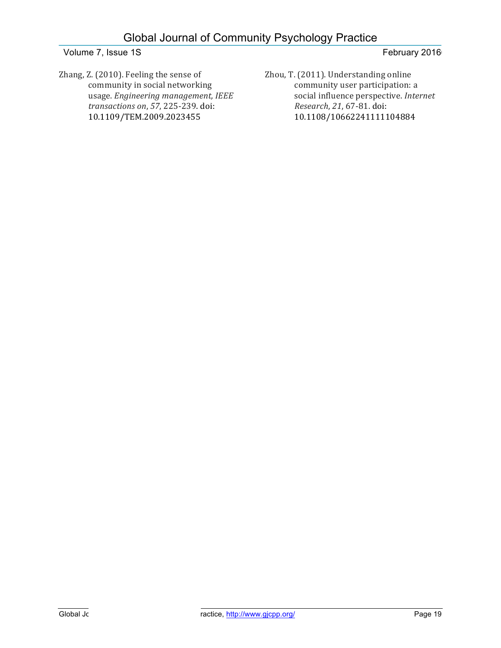Zhang, Z. (2010). Feeling the sense of community in social networking usage. *Engineering management, IEEE transactions on*, *57*, 225-239. doi: 10.1109/TEM.2009.2023455

Zhou, T. (2011). Understanding online community user participation: a social influence perspective. *Internet Research*, *21*, 67-81. doi: 10.1108/10662241111104884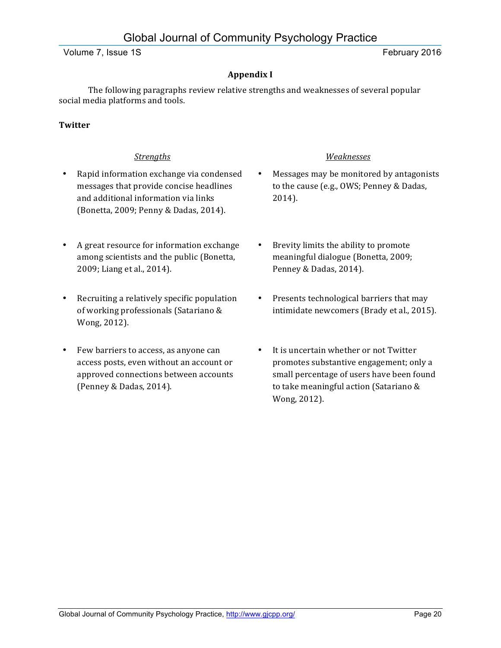# **Appendix I**

The following paragraphs review relative strengths and weaknesses of several popular social media platforms and tools.

## **Twitter**

- Rapid information exchange via condensed messages that provide concise headlines and additional information via links (Bonetta, 2009; Penny & Dadas, 2014).
- A great resource for information exchange among scientists and the public (Bonetta, 2009; Liang et al., 2014).
- Recruiting a relatively specific population of working professionals (Satariano & Wong, 2012).
- Few barriers to access, as anyone can access posts, even without an account or approved connections between accounts (Penney & Dadas, 2014).

### *Strengths Weaknesses*

- Messages may be monitored by antagonists to the cause (e.g., OWS; Penney & Dadas, 2014).
- Brevity limits the ability to promote meaningful dialogue (Bonetta, 2009; Penney & Dadas, 2014).
- Presents technological barriers that may intimidate newcomers (Brady et al., 2015).
- It is uncertain whether or not Twitter promotes substantive engagement; only a small percentage of users have been found to take meaningful action (Satariano & Wong, 2012).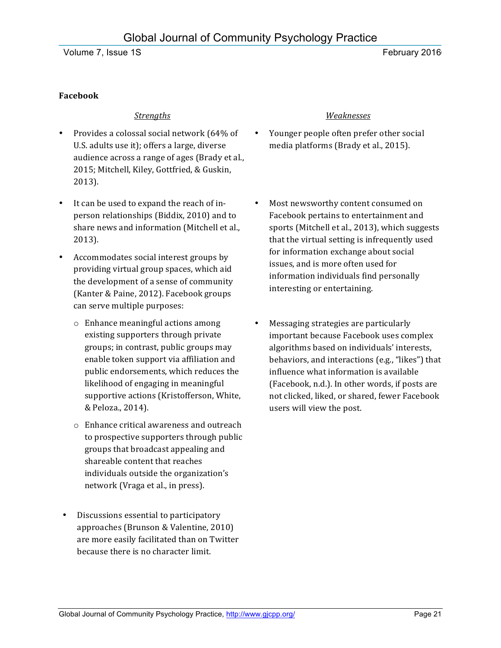# **Facebook**

- Provides a colossal social network (64% of U.S. adults use it); offers a large, diverse audience across a range of ages (Brady et al., 2015; Mitchell, Kiley, Gottfried, & Guskin, 2013).
- It can be used to expand the reach of inperson relationships (Biddix, 2010) and to share news and information (Mitchell et al., 2013).
- Accommodates social interest groups by providing virtual group spaces, which aid the development of a sense of community (Kanter & Paine, 2012). Facebook groups can serve multiple purposes:
	- $\circ$  Enhance meaningful actions among existing supporters through private groups; in contrast, public groups may enable token support via affiliation and public endorsements, which reduces the likelihood of engaging in meaningful supportive actions (Kristofferson, White, & Peloza., 2014).
	- o Enhance critical awareness and outreach to prospective supporters through public groups that broadcast appealing and shareable content that reaches individuals outside the organization's network (Vraga et al., in press).
- Discussions essential to participatory approaches (Brunson & Valentine, 2010) are more easily facilitated than on Twitter because there is no character limit.

## *Strengths Weaknesses*

- Younger people often prefer other social media platforms (Brady et al., 2015).
- Most newsworthy content consumed on Facebook pertains to entertainment and sports (Mitchell et al., 2013), which suggests that the virtual setting is infrequently used for information exchange about social issues, and is more often used for information individuals find personally interesting or entertaining.
- Messaging strategies are particularly important because Facebook uses complex algorithms based on individuals' interests, behaviors, and interactions (e.g., "likes") that influence what information is available (Facebook, n.d.). In other words, if posts are not clicked, liked, or shared, fewer Facebook users will view the post.